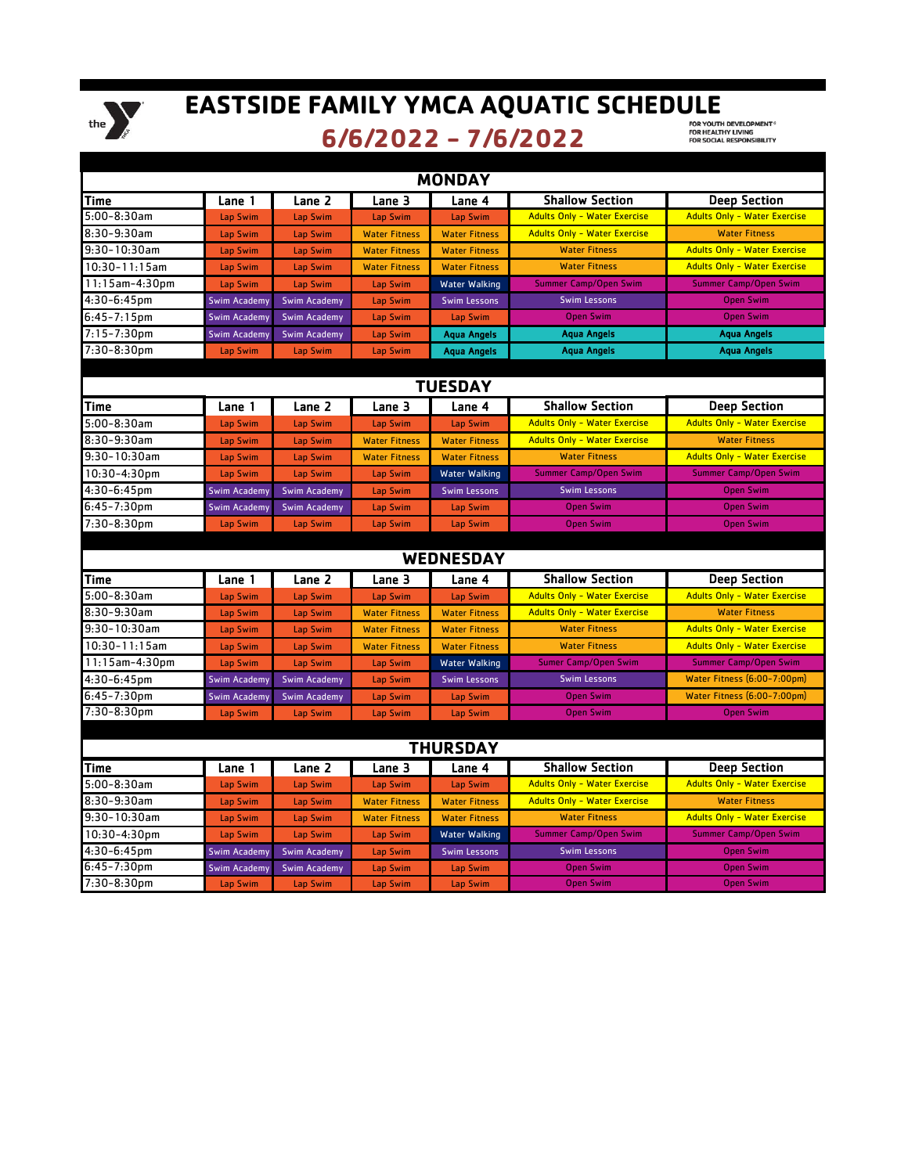

## EASTSIDE FAMILY YMCA AQUATIC SCHEDULE

**6/6/2022 - 7/6/2022**

| <b>MONDAY</b>      |                     |                     |                      |                      |                                     |                                     |  |  |  |  |
|--------------------|---------------------|---------------------|----------------------|----------------------|-------------------------------------|-------------------------------------|--|--|--|--|
| Time               | Lane 1              | Lane 2              | Lane 3               | Lane 4               | <b>Shallow Section</b>              | Deep Section                        |  |  |  |  |
| $5:00-8:30am$      | Lap Swim            | <b>Lap Swim</b>     | Lap Swim             | Lap Swim             | <b>Adults Only - Water Exercise</b> | <b>Adults Only - Water Exercise</b> |  |  |  |  |
| 8:30-9:30am        | Lap Swim            | Lap Swim            | <b>Water Fitness</b> | <b>Water Fitness</b> | <b>Adults Only - Water Exercise</b> | <b>Water Fitness</b>                |  |  |  |  |
| $9:30-10:30$ am    | Lap Swim            | Lap Swim            | <b>Water Fitness</b> | <b>Water Fitness</b> | <b>Water Fitness</b>                | <b>Adults Only - Water Exercise</b> |  |  |  |  |
| $10:30 - 11:15$ am | Lap Swim            | Lap Swim            | <b>Water Fitness</b> | <b>Water Fitness</b> | <b>Water Fitness</b>                | <b>Adults Only - Water Exercise</b> |  |  |  |  |
| $11:15$ am-4:30pm  | Lap Swim            | Lap Swim            | <b>Lap Swim</b>      | Water Walking        | <b>Summer Camp/Open Swim</b>        | <b>Summer Camp/Open Swim</b>        |  |  |  |  |
| $4:30-6:45$ pm     | <b>Swim Academy</b> | <b>Swim Academy</b> | Lap Swim             | <b>Swim Lessons</b>  | <b>Swim Lessons</b>                 | <b>Open Swim</b>                    |  |  |  |  |
| $6:45 - 7:15$ pm   | <b>Swim Academy</b> | <b>Swim Academy</b> | Lap Swim             | Lap Swim             | <b>Open Swim</b>                    | <b>Open Swim</b>                    |  |  |  |  |
| $7:15 - 7:30$ pm   | <b>Swim Academy</b> | <b>Swim Academy</b> | <b>Lap Swim</b>      | <b>Aqua Angels</b>   | Agua Angels                         | <b>Aqua Angels</b>                  |  |  |  |  |
| 7:30-8:30pm        | Lap Swim            | <b>Lap Swim</b>     | Lap Swim             | <b>Aqua Angels</b>   | Aqua Angels                         | <b>Agua Angels</b>                  |  |  |  |  |
| <b>TUESDAY</b>     |                     |                     |                      |                      |                                     |                                     |  |  |  |  |
| <b>Time</b>        | Lane 1              | Lane 2              | Lane 3               | Lane 4               | <b>Shallow Section</b>              | <b>Deep Section</b>                 |  |  |  |  |
| $5:00-8:30am$      | Lap Swim            | Lap Swim            | <b>Lap Swim</b>      | Lap Swim             | <b>Adults Only - Water Exercise</b> | <b>Adults Only - Water Exercise</b> |  |  |  |  |
| 8:30-9:30am        | Lap Swim            | Lap Swim            | <b>Water Fitness</b> | <b>Water Fitness</b> | <b>Adults Only - Water Exercise</b> | <b>Water Fitness</b>                |  |  |  |  |
| $9:30-10:30$ am    | Lap Swim            | Lap Swim            | <b>Water Fitness</b> | <b>Water Fitness</b> | <b>Water Fitness</b>                | <b>Adults Only - Water Exercise</b> |  |  |  |  |
| $10:30 - 4:30$ pm  | Lap Swim            | Lap Swim            | Lap Swim             | Water Walking        | <b>Summer Camp/Open Swim</b>        | <b>Summer Camp/Open Swim</b>        |  |  |  |  |
| 4:30-6:45pm        | <b>Swim Academy</b> | <b>Swim Academy</b> | <b>Lap Swim</b>      | <b>Swim Lessons</b>  | <b>Swim Lessons</b>                 | <b>Open Swim</b>                    |  |  |  |  |
| $6:45 - 7:30$ pm   | <b>Swim Academy</b> | <b>Swim Academy</b> | Lap Swim             | Lap Swim             | <b>Open Swim</b>                    | <b>Open Swim</b>                    |  |  |  |  |
| $7:30 - 8:30$ pm   | Lap Swim            | Lap Swim            | <b>Lap Swim</b>      | Lap Swim             | <b>Open Swim</b>                    | <b>Open Swim</b>                    |  |  |  |  |
|                    |                     |                     |                      |                      |                                     |                                     |  |  |  |  |
|                    |                     |                     |                      | <b>WEDNESDAY</b>     |                                     |                                     |  |  |  |  |
| Time               | Lane 1              | Lane 2              | Lane 3               | Lane 4               | <b>Shallow Section</b>              | <b>Deep Section</b>                 |  |  |  |  |
| $5:00 - 8:30$ am   | Lap Swim            | Lap Swim            | Lap Swim             | Lap Swim             | <b>Adults Only - Water Exercise</b> | <b>Adults Only - Water Exercise</b> |  |  |  |  |
| 8:30-9:30am        | Lap Swim            | Lap Swim            | <b>Water Fitness</b> | <b>Water Fitness</b> | <b>Adults Only - Water Exercise</b> | <b>Water Fitness</b>                |  |  |  |  |
| $9:30-10:30$ am    | Lap Swim            | Lap Swim            | <b>Water Fitness</b> | <b>Water Fitness</b> | <b>Water Fitness</b>                | <b>Adults Only - Water Exercise</b> |  |  |  |  |
| $10:30 - 11:15$ am | Lap Swim            | Lap Swim            | <b>Water Fitness</b> | <b>Water Fitness</b> | <b>Water Fitness</b>                | <b>Adults Only - Water Exercise</b> |  |  |  |  |
| $11:15$ am-4:30pm  | Lap Swim            | Lap Swim            | Lap Swim             | Water Walking        | <b>Sumer Camp/Open Swim</b>         | <b>Summer Camp/Open Swim</b>        |  |  |  |  |
| 4:30-6:45pm        | <b>Swim Academy</b> | <b>Swim Academy</b> | <b>Lap Swim</b>      | <b>Swim Lessons</b>  | <b>Swim Lessons</b>                 | Water Fitness (6:00-7:00pm)         |  |  |  |  |
| $6:45 - 7:30$ pm   | <b>Swim Academy</b> | <b>Swim Academy</b> | Lap Swim             | Lap Swim             | <b>Open Swim</b>                    | Water Fitness (6:00-7:00pm)         |  |  |  |  |
| 7:30-8:30pm        | Lap Swim            | Lap Swim            | Lap Swim             | Lap Swim             | <b>Open Swim</b>                    | <b>Open Swim</b>                    |  |  |  |  |
|                    |                     |                     |                      |                      |                                     |                                     |  |  |  |  |
|                    |                     |                     |                      | <b>THURSDAY</b>      |                                     |                                     |  |  |  |  |
| Time               | Lane 1              | Lane 2              | Lane 3               | Lane 4               | <b>Shallow Section</b>              | <b>Deep Section</b>                 |  |  |  |  |
| $5:00 - 8:30$ am   | Lap Swim            | Lap Swim            | Lap Swim             | Lap Swim             | <b>Adults Only - Water Exercise</b> | <b>Adults Only - Water Exercise</b> |  |  |  |  |
| 8:30-9:30am        | Lap Swim            | Lap Swim            | <b>Water Fitness</b> | <b>Water Fitness</b> | <b>Adults Only - Water Exercise</b> | <b>Water Fitness</b>                |  |  |  |  |
| $9:30-10:30$ am    | Lap Swim            | Lap Swim            | <b>Water Fitness</b> | <b>Water Fitness</b> | <b>Water Fitness</b>                | <b>Adults Only - Water Exercise</b> |  |  |  |  |
| $10:30-4:30$ pm    | Lap Swim            | Lap Swim            | Lap Swim             | <b>Water Walking</b> | Summer Camp/Open Swim               | Summer Camp/Open Swim               |  |  |  |  |
| 4:30-6:45pm        | <b>Swim Academy</b> | <b>Swim Academy</b> | Lap Swim             | <b>Swim Lessons</b>  | <b>Swim Lessons</b>                 | <b>Open Swim</b>                    |  |  |  |  |
| 6:45-7:30pm        | <b>Swim Academy</b> | <b>Swim Academy</b> | Lap Swim             | Lap Swim             | <b>Open Swim</b>                    | <b>Open Swim</b>                    |  |  |  |  |
| 7:30-8:30pm        | Lap Swim            | Lap Swim            | Lap Swim             | Lap Swim             | <b>Open Swim</b>                    | <b>Open Swim</b>                    |  |  |  |  |